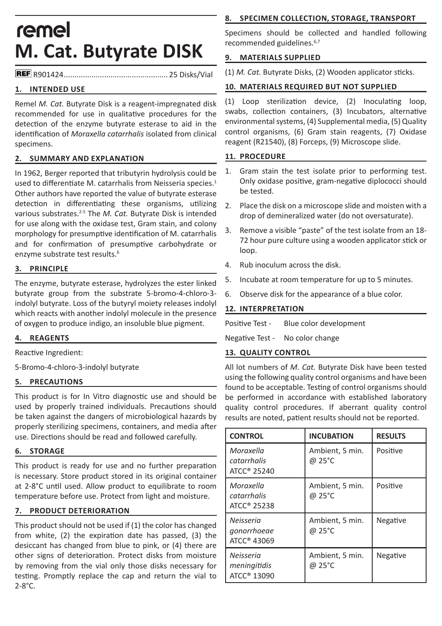# remel **M. Cat. Butyrate DISK**

R901424................................................. 25 Disks/Vial

## **1. INTENDED USE**

Remel *M. Cat.* Butyrate Disk is a reagent-impregnated disk recommended for use in qualitative procedures for the detection of the enzyme butyrate esterase to aid in the identification of *Moraxella catarrhalis* isolated from clinical specimens.

### **2. SUMMARY AND EXPLANATION**

In 1962, Berger reported that tributyrin hydrolysis could be used to differentiate M. catarrhalis from Neisseria species.<sup>1</sup> Other authors have reported the value of butyrate esterase detection in differentiating these organisms, utilizing various substrates.2-5 The *M. Cat.* Butyrate Disk is intended for use along with the oxidase test, Gram stain, and colony morphology for presumptive identification of M. catarrhalis and for confirmation of presumptive carbohydrate or enzyme substrate test results.<sup>6</sup>

### **3. PRINCIPLE**

The enzyme, butyrate esterase, hydrolyzes the ester linked butyrate group from the substrate 5-bromo-4-chloro-3 indolyl butyrate. Loss of the butyryl moiety releases indolyl which reacts with another indolyl molecule in the presence of oxygen to produce indigo, an insoluble blue pigment.

#### **4. REAGENTS**

Reactive Ingredient:

5-Bromo-4-chloro-3-indolyl butyrate

#### **5. PRECAUTIONS**

This product is for In Vitro diagnostic use and should be used by properly trained individuals. Precautions should be taken against the dangers of microbiological hazards by properly sterilizing specimens, containers, and media after use. Directions should be read and followed carefully.

#### **6. STORAGE**

This product is ready for use and no further preparation is necessary. Store product stored in its original container at 2-8°C until used. Allow product to equilibrate to room temperature before use. Protect from light and moisture.

# **7. PRODUCT DETERIORATION**

This product should not be used if (1) the color has changed from white, (2) the expiration date has passed, (3) the desiccant has changed from blue to pink, or (4) there are other signs of deterioration. Protect disks from moisture by removing from the vial only those disks necessary for testing. Promptly replace the cap and return the vial to 2-8°C.

# **8. SPECIMEN COLLECTION, STORAGE, TRANSPORT**

Specimens should be collected and handled following recommended guidelines.6,7

## **9. MATERIALS SUPPLIED**

(1) *M. Cat.* Butyrate Disks, (2) Wooden applicator sticks.

# **10. MATERIALS REQUIRED BUT NOT SUPPLIED**

(1) Loop sterilization device, (2) Inoculating loop, swabs, collection containers, (3) Incubators, alternative environmental systems, (4) Supplemental media, (5) Quality control organisms, (6) Gram stain reagents, (7) Oxidase reagent (R21540), (8) Forceps, (9) Microscope slide.

## **11. PROCEDURE**

- 1. Gram stain the test isolate prior to performing test. Only oxidase positive, gram-negative diplococci should be tested.
- 2. Place the disk on a microscope slide and moisten with a drop of demineralized water (do not oversaturate).
- 3. Remove a visible "paste" of the test isolate from an 18- 72 hour pure culture using a wooden applicator stick or loop.
- 4. Rub inoculum across the disk.
- 5. Incubate at room temperature for up to 5 minutes.
- 6. Observe disk for the appearance of a blue color.

# **12. INTERPRETATION**

Positive Test - Blue color development

Negative Test - No color change

## **13. QUALITY CONTROL**

All lot numbers of *M. Cat.* Butyrate Disk have been tested using the following quality control organisms and have been found to be acceptable. Testing of control organisms should be performed in accordance with established laboratory quality control procedures. If aberrant quality control results are noted, patient results should not be reported.

| <b>CONTROL</b>                                       | <b>INCUBATION</b>         | <b>RESULTS</b> |
|------------------------------------------------------|---------------------------|----------------|
| Moraxella<br>catarrhalis<br>ATCC <sup>®</sup> 25240  | Ambient, 5 min.<br>@ 25°C | Positive       |
| Moraxella<br>catarrhalis<br>ATCC <sup>®</sup> 25238  | Ambient, 5 min.<br>@ 25°C | Positive       |
| Neisseria<br>gonorrhoeae<br>ATCC <sup>®</sup> 43069  | Ambient, 5 min.<br>@ 25°C | Negative       |
| Neisseria<br>meningitidis<br>ATCC <sup>®</sup> 13090 | Ambient, 5 min.<br>@ 25°C | Negative       |